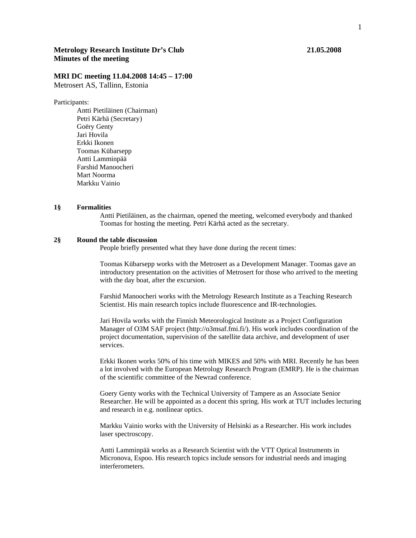# **Metrology Research Institute Dr's Club 21.05.2008 Minutes of the meeting**

# **MRI DC meeting 11.04.2008 14:45 – 17:00**

Metrosert AS, Tallinn, Estonia

#### Participants:

 Antti Pietiläinen (Chairman) Petri Kärhä (Secretary) Goëry Genty Jari Hovila Erkki Ikonen Toomas Kübarsepp Antti Lamminpää Farshid Manoocheri Mart Noorma Markku Vainio

#### **1§ Formalities**

Antti Pietiläinen, as the chairman, opened the meeting, welcomed everybody and thanked Toomas for hosting the meeting. Petri Kärhä acted as the secretary.

## **2§ Round the table discussion**

People briefly presented what they have done during the recent times:

Toomas Kübarsepp works with the Metrosert as a Development Manager. Toomas gave an introductory presentation on the activities of Metrosert for those who arrived to the meeting with the day boat, after the excursion.

Farshid Manoocheri works with the Metrology Research Institute as a Teaching Research Scientist. His main research topics include fluorescence and IR-technologies.

Jari Hovila works with the Finnish Meteorological Institute as a Project Configuration Manager of O3M SAF project (http://o3msaf.fmi.fi/). His work includes coordination of the project documentation, supervision of the satellite data archive, and development of user services.

Erkki Ikonen works 50% of his time with MIKES and 50% with MRI. Recently he has been a lot involved with the European Metrology Research Program (EMRP). He is the chairman of the scientific committee of the Newrad conference.

Goery Genty works with the Technical University of Tampere as an Associate Senior Researcher. He will be appointed as a docent this spring. His work at TUT includes lecturing and research in e.g. nonlinear optics.

Markku Vainio works with the University of Helsinki as a Researcher. His work includes laser spectroscopy.

Antti Lamminpää works as a Research Scientist with the VTT Optical Instruments in Micronova, Espoo. His research topics include sensors for industrial needs and imaging interferometers.